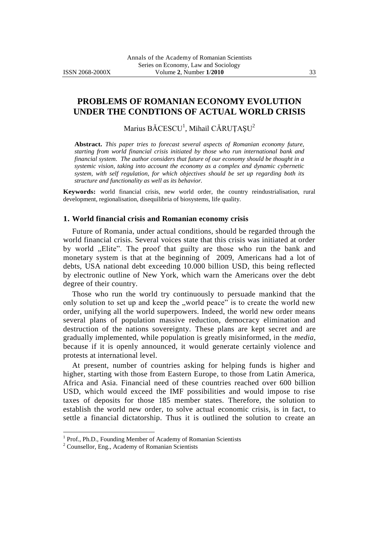# **PROBLEMS OF ROMANIAN ECONOMY EVOLUTION UNDER THE CONDTIONS OF ACTUAL WORLD CRISIS**

Marius  $\rm B\check ACESCU^1$ , Mihail  $\rm C\check ARUTASU^2$ 

**Abstract.** *This paper tries to forecast several aspects of Romanian economy future, starting from world financial crisis initiated by those who run international bank and financial system. The author considers that future of our economy should be thought in a systemic vision, taking into account the economy as a complex and dynamic cybernetic system, with self regulation, for which objectives should be set up regarding both its structure and functionality as well as its behavior.*

**Keywords:** world financial crisis, new world order, the country reindustrialisation, rural development, regionalisation, disequilibria of biosystems, life quality.

#### **1. World financial crisis and Romanian economy crisis**

Future of Romania, under actual conditions, should be regarded through the world financial crisis. Several voices state that this crisis was initiated at order by world "Elite". The proof that guilty are those who run the bank and monetary system is that at the beginning of 2009, Americans had a lot of debts, USA national debt exceeding 10.000 billion USD, this being reflected by electronic outline of New York, which warn the Americans over the debt degree of their country.

Those who run the world try continuously to persuade mankind that the only solution to set up and keep the "world peace" is to create the world new order, unifying all the world superpowers. Indeed, the world new order means several plans of population massive reduction, democracy elimination and destruction of the nations sovereignty. These plans are kept secret and are gradually implemented, while population is greatly misinformed, in the *media*, because if it is openly announced, it would generate certainly violence and protests at international level.

At present, number of countries asking for helping funds is higher and higher, starting with those from Eastern Europe, to those from Latin America, Africa and Asia. Financial need of these countries reached over 600 billion USD, which would exceed the IMF possibilities and would impose to rise taxes of deposits for those 185 member states. Therefore, the solution to establish the world new order, to solve actual economic crisis, is in fact, to settle a financial dictatorship. Thus it is outlined the solution to create an

 $\overline{a}$ 

<sup>&</sup>lt;sup>1</sup> Prof., Ph.D., Founding Member of Academy of Romanian Scientists

<sup>2</sup> Counsellor, Eng., Academy of Romanian Scientists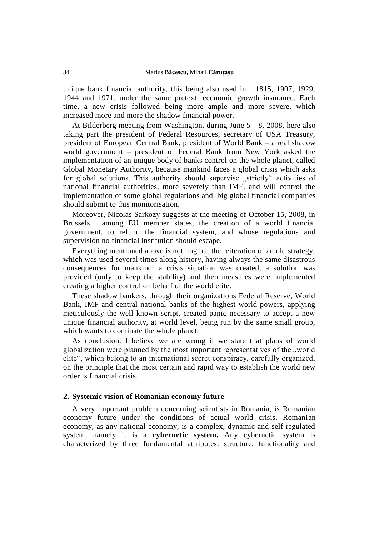unique bank financial authority, this being also used in 1815, 1907, 1929, 1944 and 1971, under the same pretext: economic growth insurance. Each time, a new crisis followed being more ample and more severe, which increased more and more the shadow financial power.

At Bilderberg meeting from Washington, during June 5 - 8, 2008, here also taking part the president of Federal Resources, secretary of USA Treasury, president of European Central Bank, president of World Bank – a real shadow world government – president of Federal Bank from New York asked the implementation of an unique body of banks control on the whole planet, called Global Monetary Authority, because mankind faces a global crisis which asks for global solutions. This authority should supervise "strictly" activities of national financial authorities, more severely than IMF, and will control the implementation of some global regulations and big global financial companies should submit to this monitorisation.

Moreover, Nicolas Sarkozy suggests at the meeting of October 15, 2008, in Brussels, among EU member states, the creation of a world financial government, to refund the financial system, and whose regulations and supervision no financial institution should escape.

Everything mentioned above is nothing but the reiteration of an old strategy, which was used several times along history, having always the same disastrous consequences for mankind: a crisis situation was created, a solution was provided (only to keep the stability) and then measures were implemented creating a higher control on behalf of the world elite.

These shadow bankers, through their organizations Federal Reserve, World Bank, IMF and central national banks of the highest world powers, applying meticulously the well known script, created panic necessary to accept a new unique financial authority, at world level, being run by the same small group, which wants to dominate the whole planet.

As conclusion, I believe we are wrong if we state that plans of world globalization were planned by the most important representatives of the "world elite", which belong to an international secret conspiracy, carefully organized, on the principle that the most certain and rapid way to establish the world new order is financial crisis.

### **2. Systemic vision of Romanian economy future**

A very important problem concerning scientists in Romania, is Romanian economy future under the conditions of actual world crisis. Romanian economy, as any national economy, is a complex, dynamic and self regulated system, namely it is a **cybernetic system.** Any cybernetic system is characterized by three fundamental attributes: structure, functionality and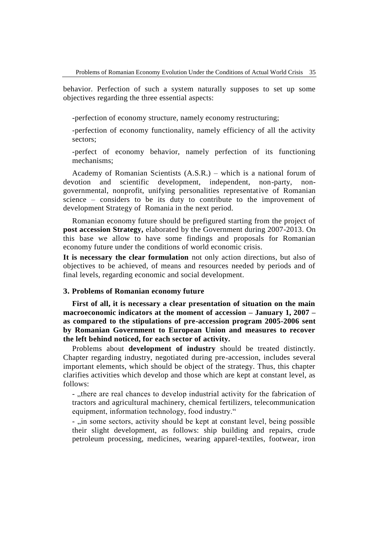behavior. Perfection of such a system naturally supposes to set up some objectives regarding the three essential aspects:

-perfection of economy structure, namely economy restructuring;

-perfection of economy functionality, namely efficiency of all the activity sectors;

-perfect of economy behavior, namely perfection of its functioning mechanisms;

Academy of Romanian Scientists (A.S.R.) – which is a national forum of devotion and scientific development, independent, non-party, nongovernmental, nonprofit, unifying personalities representative of Romanian science – considers to be its duty to contribute to the improvement of development Strategy of Romania in the next period.

Romanian economy future should be prefigured starting from the project of **post accession Strategy,** elaborated by the Government during 2007-2013. On this base we allow to have some findings and proposals for Romanian economy future under the conditions of world economic crisis.

**It is necessary the clear formulation** not only action directions, but also of objectives to be achieved, of means and resources needed by periods and of final levels, regarding economic and social development.

### **3. Problems of Romanian economy future**

**First of all, it is necessary a clear presentation of situation on the main macroeconomic indicators at the moment of accession – January 1, 2007 – as compared to the stipulations of pre-accession program 2005-2006 sent by Romanian Government to European Union and measures to recover the left behind noticed, for each sector of activity.** 

Problems about **development of industry** should be treated distinctly. Chapter regarding industry, negotiated during pre-accession, includes several important elements, which should be object of the strategy. Thus, this chapter clarifies activities which develop and those which are kept at constant level, as follows:

- "there are real chances to develop industrial activity for the fabrication of tractors and agricultural machinery, chemical fertilizers, telecommunication equipment, information technology, food industry."

- "in some sectors, activity should be kept at constant level, being possible their slight development, as follows: ship building and repairs, crude petroleum processing, medicines, wearing apparel-textiles, footwear, iron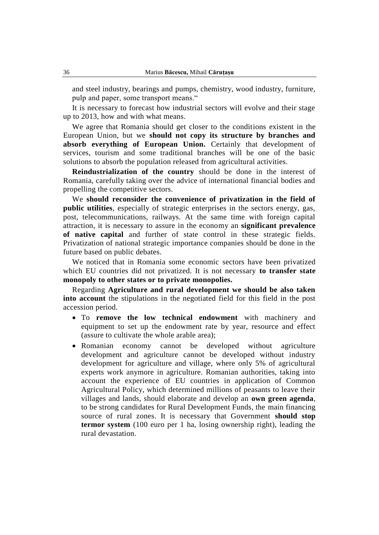and steel industry, bearings and pumps, chemistry, wood industry, furniture, pulp and paper, some transport means."

It is necessary to forecast how industrial sectors will evolve and their stage up to 2013, how and with what means.

We agree that Romania should get closer to the conditions existent in the European Union, but we **should not copy its structure by branches and absorb everything of European Union.** Certainly that development of services, tourism and some traditional branches will be one of the basic solutions to absorb the population released from agricultural activities.

**Reindustrialization of the country** should be done in the interest of Romania, carefully taking over the advice of international financial bodies and propelling the competitive sectors.

We **should reconsider the convenience of privatization in the field of public utilities**, especially of strategic enterprises in the sectors energy, gas, post, telecommunications, railways. At the same time with foreign capital attraction, it is necessary to assure in the economy an **significant prevalence of native capital** and further of state control in these strategic fields. Privatization of national strategic importance companies should be done in the future based on public debates.

We noticed that in Romania some economic sectors have been privatized which EU countries did not privatized. It is not necessary **to transfer state monopoly to other states or to private monopolies.**

Regarding **Agriculture and rural development we should be also taken into account** the stipulations in the negotiated field for this field in the post accession period.

- To **remove the low technical endowment** with machinery and equipment to set up the endowment rate by year, resource and effect (assure to cultivate the whole arable area);
- Romanian economy cannot be developed without agriculture development and agriculture cannot be developed without industry development for agriculture and village, where only 5% of agricultural experts work anymore in agriculture. Romanian authorities, taking into account the experience of EU countries in application of Common Agricultural Policy, which determined millions of peasants to leave their villages and lands, should elaborate and develop an **own green agenda**, to be strong candidates for Rural Development Funds, the main financing source of rural zones. It is necessary that Government **should stop termor system** (100 euro per 1 ha, losing ownership right), leading the rural devastation.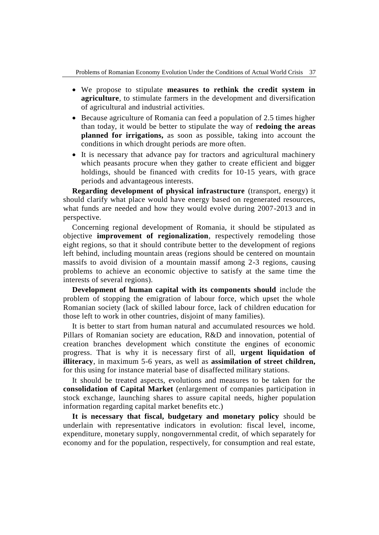- We propose to stipulate **measures to rethink the credit system in agriculture**, to stimulate farmers in the development and diversification of agricultural and industrial activities.
- Because agriculture of Romania can feed a population of 2.5 times higher than today, it would be better to stipulate the way of **redoing the areas planned for irrigations,** as soon as possible, taking into account the conditions in which drought periods are more often.
- It is necessary that advance pay for tractors and agricultural machinery which peasants procure when they gather to create efficient and bigger holdings, should be financed with credits for 10-15 years, with grace periods and advantageous interests.

**Regarding development of physical infrastructure** (transport, energy) it should clarify what place would have energy based on regenerated resources, what funds are needed and how they would evolve during 2007-2013 and in perspective.

Concerning regional development of Romania, it should be stipulated as objective **improvement of regionalization**, respectively remodeling those eight regions, so that it should contribute better to the development of regions left behind, including mountain areas (regions should be centered on mountain massifs to avoid division of a mountain massif among 2-3 regions, causing problems to achieve an economic objective to satisfy at the same time the interests of several regions).

**Development of human capital with its components should** include the problem of stopping the emigration of labour force, which upset the whole Romanian society (lack of skilled labour force, lack of children education for those left to work in other countries, disjoint of many families).

It is better to start from human natural and accumulated resources we hold. Pillars of Romanian society are education, R&D and innovation, potential of creation branches development which constitute the engines of economic progress. That is why it is necessary first of all, **urgent liquidation of illiteracy**, in maximum 5-6 years, as well as **assimilation of street children,**  for this using for instance material base of disaffected military stations.

It should be treated aspects, evolutions and measures to be taken for the **consolidation of Capital Market** (enlargement of companies participation in stock exchange, launching shares to assure capital needs, higher population information regarding capital market benefits etc.)

**It is necessary that fiscal, budgetary and monetary policy** should be underlain with representative indicators in evolution: fiscal level, income, expenditure, monetary supply, nongovernmental credit, of which separately for economy and for the population, respectively, for consumption and real estate,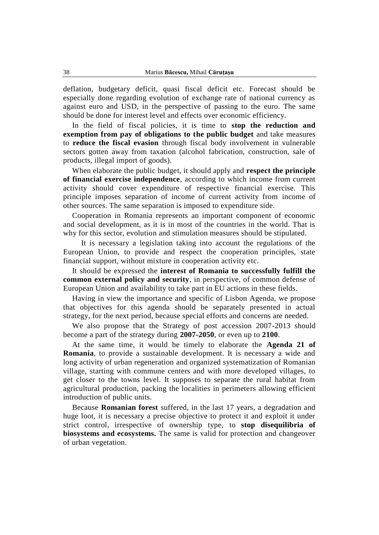deflation, budgetary deficit, quasi fiscal deficit etc. Forecast should be especially done regarding evolution of exchange rate of national currency as against euro and USD, in the perspective of passing to the euro. The same should be done for interest level and effects over economic efficiency.

In the field of fiscal policies, it is time to **stop the reduction and exemption from pay of obligations to the public budget** and take measures to **reduce the fiscal evasion** through fiscal body involvement in vulnerable sectors gotten away from taxation (alcohol fabrication, construction, sale of products, illegal import of goods).

When elaborate the public budget, it should apply and **respect the principle of financial exercise independence**, according to which income from current activity should cover expenditure of respective financial exercise. This principle imposes separation of income of current activity from income of other sources. The same separation is imposed to expenditure side.

Cooperation in Romania represents an important component of economic and social development, as it is in most of the countries in the world. That is why for this sector, evolution and stimulation measures should be stipulated.

It is necessary a legislation taking into account the regulations of the European Union, to provide and respect the cooperation principles, state financial support, without mixture in cooperation activity etc.

It should be expressed the **interest of Romania to successfully fulfill the common external policy and security**, in perspective, of common defense of European Union and availability to take part in EU actions in these fields.

Having in view the importance and specific of Lisbon Agenda, we propose that objectives for this agenda should be separately presented in actual strategy, for the next period, because special efforts and concerns are needed.

We also propose that the Strategy of post accession 2007-2013 should become a part of the strategy during **2007-2050**, or even up to **2100**.

At the same time, it would be timely to elaborate the **Agenda 21 of Romania**, to provide a sustainable development. It is necessary a wide and long activity of urban regeneration and organized systematization of Romanian village, starting with commune centers and with more developed villages, to get closer to the towns level. It supposes to separate the rural habitat from agricultural production, packing the localities in perimeters allowing efficient introduction of public units.

Because **Romanian forest** suffered, in the last 17 years, a degradation and huge loot, it is necessary a precise objective to protect it and exploit it under strict control, irrespective of ownership type, to **stop disequilibria of biosystems and ecosystems.** The same is valid for protection and changeover of urban vegetation.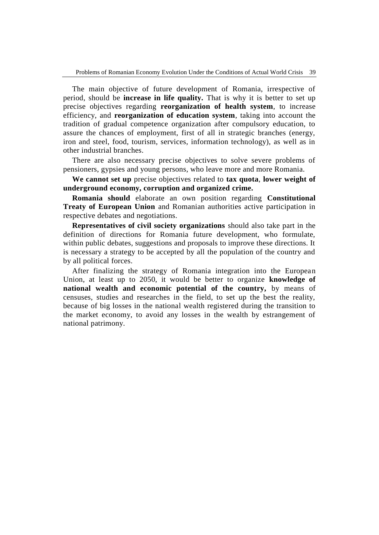The main objective of future development of Romania, irrespective of period, should be **increase in life quality.** That is why it is better to set up precise objectives regarding **reorganization of health system**, to increase efficiency, and **reorganization of education system**, taking into account the tradition of gradual competence organization after compulsory education, to assure the chances of employment, first of all in strategic branches (energy, iron and steel, food, tourism, services, information technology), as well as in other industrial branches.

There are also necessary precise objectives to solve severe problems of pensioners, gypsies and young persons, who leave more and more Romania.

**We cannot set up** precise objectives related to **tax quota**, **lower weight of underground economy, corruption and organized crime.**

**Romania should** elaborate an own position regarding **Constitutional Treaty of European Union** and Romanian authorities active participation in respective debates and negotiations.

**Representatives of civil society organizations** should also take part in the definition of directions for Romania future development, who formulate, within public debates, suggestions and proposals to improve these directions. It is necessary a strategy to be accepted by all the population of the country and by all political forces.

After finalizing the strategy of Romania integration into the European Union, at least up to 2050, it would be better to organize **knowledge of national wealth and economic potential of the country,** by means of censuses, studies and researches in the field, to set up the best the reality, because of big losses in the national wealth registered during the transition to the market economy, to avoid any losses in the wealth by estrangement of national patrimony.